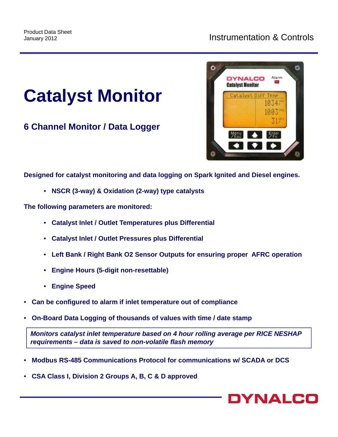## **Catalyst Monitor**

**6 Channel Monitor / Data Logger**



**Designed for catalyst monitoring and data logging on Spark Ignited and Diesel engines.**

• **NSCR (3-way) & Oxidation (2-way) type catalysts**

**The following parameters are monitored:**

- **Catalyst Inlet / Outlet Temperatures plus Differential**
- **Catalyst Inlet / Outlet Pressures plus Differential**
- **Left Bank / Right Bank O2 Sensor Outputs for ensuring proper AFRC operation**
- **Engine Hours (5-digit non-resettable)**
- **Engine Speed**
- **Can be configured to alarm if inlet temperature out of compliance**
- **On-Board Data Logging of thousands of values with time / date stamp**

*Monitors catalyst inlet temperature based on 4 hour rolling average per RICE NESHAP requirements – data is saved to non-volatile flash memory*

- **Modbus RS-485 Communications Protocol for communications w/ SCADA or DCS**
- **CSA Class I, Division 2 Groups A, B, C & D approved**